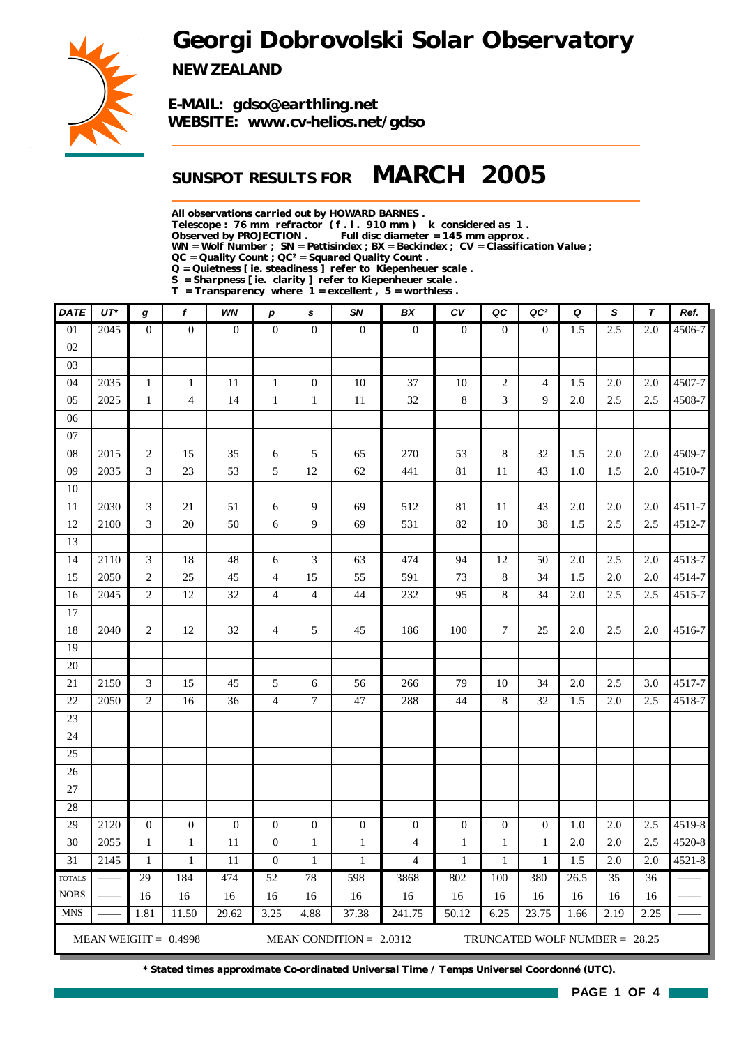# *Georgi Dobrovolski Solar Observatory*



*NEW ZEALAND*

*E-MAIL: gdso@earthling.net WEBSITE: www.cv-helios.net/gdso*

## *SUNSPOT RESULTS FOR MARCH 2005*

*All observations carried out by HOWARD BARNES .*

*Telescope : 76 mm refractor ( f . l . 910 mm ) k considered as 1 .*

Full disc diameter = 145 mm approx .

*WN = Wolf Number ; SN = Pettisindex ; BX = Beckindex ; CV = Classification Value ;*

*QC = Quality Count ; QC² = Squared Quality Count . Q = Quietness [ ie. steadiness ] refer to Kiepenheuer scale .*

*S = Sharpness [ ie. clarity ] refer to Kiepenheuer scale .*

*T = Transparency where 1 = excellent , 5 = worthless .*

| <b>DATE</b>   | $UT^*$ | $\bm{g}$                    | f                       | WN             | $\boldsymbol{p}$ | s                | SN                        | BX               | c <sub>V</sub>   | QC               | QC <sup>2</sup>                 | Q    | S               | $\overline{r}$  | Ref.   |
|---------------|--------|-----------------------------|-------------------------|----------------|------------------|------------------|---------------------------|------------------|------------------|------------------|---------------------------------|------|-----------------|-----------------|--------|
| 01            | 2045   | $\overline{0}$              | $\overline{0}$          | $\overline{0}$ | $\overline{0}$   | $\overline{0}$   | $\overline{0}$            | $\overline{0}$   | $\overline{0}$   | $\boldsymbol{0}$ | $\mathbf{0}$                    | 1.5  | 2.5             | 2.0             | 4506-7 |
| 02            |        |                             |                         |                |                  |                  |                           |                  |                  |                  |                                 |      |                 |                 |        |
| 03            |        |                             |                         |                |                  |                  |                           |                  |                  |                  |                                 |      |                 |                 |        |
| 04            | 2035   | $\mathbf{1}$                | $\mathbf{1}$            | 11             | $\mathbf{1}$     | $\boldsymbol{0}$ | $10\,$                    | 37               | $10\,$           | $\sqrt{2}$       | $\overline{4}$                  | 1.5  | 2.0             | 2.0             | 4507-7 |
| 05            | 2025   | $\mathbf{1}$                | $\overline{\mathbf{4}}$ | 14             | $\,1$            | $\mathbf{1}$     | 11                        | 32               | $\,$ 8 $\,$      | 3                | 9                               | 2.0  | 2.5             | 2.5             | 4508-7 |
| 06            |        |                             |                         |                |                  |                  |                           |                  |                  |                  |                                 |      |                 |                 |        |
| $07\,$        |        |                             |                         |                |                  |                  |                           |                  |                  |                  |                                 |      |                 |                 |        |
| 08            | 2015   | $\sqrt{2}$                  | 15                      | 35             | 6                | $\mathfrak s$    | 65                        | 270              | 53               | $\,$ 8 $\,$      | 32                              | 1.5  | 2.0             | 2.0             | 4509-7 |
| 09            | 2035   | 3                           | 23                      | 53             | 5                | 12               | 62                        | 441              | 81               | 11               | 43                              | 1.0  | 1.5             | 2.0             | 4510-7 |
| $10\,$        |        |                             |                         |                |                  |                  |                           |                  |                  |                  |                                 |      |                 |                 |        |
| 11            | 2030   | $\mathfrak{Z}$              | $21\,$                  | 51             | 6                | 9                | 69                        | 512              | 81               | 11               | 43                              | 2.0  | 2.0             | 2.0             | 4511-7 |
| 12            | 2100   | 3                           | $20\,$                  | 50             | 6                | 9                | 69                        | 531              | 82               | 10               | 38                              | 1.5  | 2.5             | 2.5             | 4512-7 |
| 13            |        |                             |                         |                |                  |                  |                           |                  |                  |                  |                                 |      |                 |                 |        |
| 14            | 2110   | $\mathfrak{Z}$              | 18                      | 48             | 6                | 3                | 63                        | 474              | 94               | 12               | 50                              | 2.0  | 2.5             | 2.0             | 4513-7 |
| 15            | 2050   | $\sqrt{2}$                  | 25                      | 45             | $\overline{4}$   | 15               | 55                        | 591              | 73               | $\bf 8$          | 34                              | 1.5  | 2.0             | 2.0             | 4514-7 |
| 16            | 2045   | $\overline{c}$              | 12                      | 32             | $\overline{4}$   | $\overline{4}$   | 44                        | 232              | 95               | 8                | 34                              | 2.0  | 2.5             | 2.5             | 4515-7 |
| 17            |        |                             |                         |                |                  |                  |                           |                  |                  |                  |                                 |      |                 |                 |        |
| 18            | 2040   | $\sqrt{2}$                  | 12                      | 32             | $\overline{4}$   | 5                | 45                        | 186              | 100              | $\tau$           | 25                              | 2.0  | 2.5             | 2.0             | 4516-7 |
| 19            |        |                             |                         |                |                  |                  |                           |                  |                  |                  |                                 |      |                 |                 |        |
| 20            |        |                             |                         |                |                  |                  |                           |                  |                  |                  |                                 |      |                 |                 |        |
| 21            | 2150   | $\ensuremath{\mathfrak{Z}}$ | 15                      | 45             | 5                | 6                | 56                        | 266              | 79               | 10               | 34                              | 2.0  | 2.5             | 3.0             | 4517-7 |
| 22            | 2050   | $\boldsymbol{2}$            | 16                      | 36             | $\overline{4}$   | $\boldsymbol{7}$ | $47\,$                    | 288              | 44               | $\,8\,$          | 32                              | 1.5  | 2.0             | 2.5             | 4518-7 |
| 23            |        |                             |                         |                |                  |                  |                           |                  |                  |                  |                                 |      |                 |                 |        |
| 24            |        |                             |                         |                |                  |                  |                           |                  |                  |                  |                                 |      |                 |                 |        |
| 25            |        |                             |                         |                |                  |                  |                           |                  |                  |                  |                                 |      |                 |                 |        |
| 26            |        |                             |                         |                |                  |                  |                           |                  |                  |                  |                                 |      |                 |                 |        |
| $27\,$        |        |                             |                         |                |                  |                  |                           |                  |                  |                  |                                 |      |                 |                 |        |
| 28            |        |                             |                         |                |                  |                  |                           |                  |                  |                  |                                 |      |                 |                 |        |
| 29            | 2120   | $\boldsymbol{0}$            | $\boldsymbol{0}$        | $\mathbf{0}$   | $\boldsymbol{0}$ | $\boldsymbol{0}$ | $\boldsymbol{0}$          | $\boldsymbol{0}$ | $\boldsymbol{0}$ | $\boldsymbol{0}$ | $\mathbf{0}$                    | 1.0  | 2.0             | 2.5             | 4519-8 |
| 30            | 2055   | $\mathbf{1}$                | $\,1\,$                 | 11             | $\boldsymbol{0}$ | $\mathbf{1}$     | $\mathbf{1}$              | $\overline{4}$   | $\mathbf{1}$     | $\mathbf{1}$     | $\mathbf{1}$                    | 2.0  | 2.0             | 2.5             | 4520-8 |
| 31            | 2145   | $\mathbf{1}$                | $\,1\,$                 | 11             | $\boldsymbol{0}$ | $\,1\,$          | $\mathbf{1}$              | $\overline{4}$   | $\mathbf{1}$     | $\mathbf{1}$     | $\mathbf{1}$                    | 1.5  | 2.0             | 2.0             | 4521-8 |
| <b>TOTALS</b> |        | $\overline{29}$             | 184                     | 474            | $\overline{52}$  | 78               | 598                       | 3868             | 802              | 100              | 380                             | 26.5 | $\overline{35}$ | $\overline{36}$ |        |
| <b>NOBS</b>   |        | 16                          | 16                      | 16             | 16               | 16               | 16                        | 16               | 16               | 16               | 16                              | 16   | 16              | 16              |        |
| <b>MNS</b>    |        | 1.81                        | 11.50                   | 29.62          | 3.25             | 4.88             | 37.38                     | 241.75           | 50.12            | 6.25             | 23.75                           | 1.66 | 2.19            | 2.25            |        |
|               |        |                             | MEAN WEIGHT = $0.4998$  |                |                  |                  | MEAN CONDITION = $2.0312$ |                  |                  |                  | TRUNCATED WOLF NUMBER = $28.25$ |      |                 |                 |        |

*\* Stated times approximate Co-ordinated Universal Time / Temps Universel Coordonné (UTC).*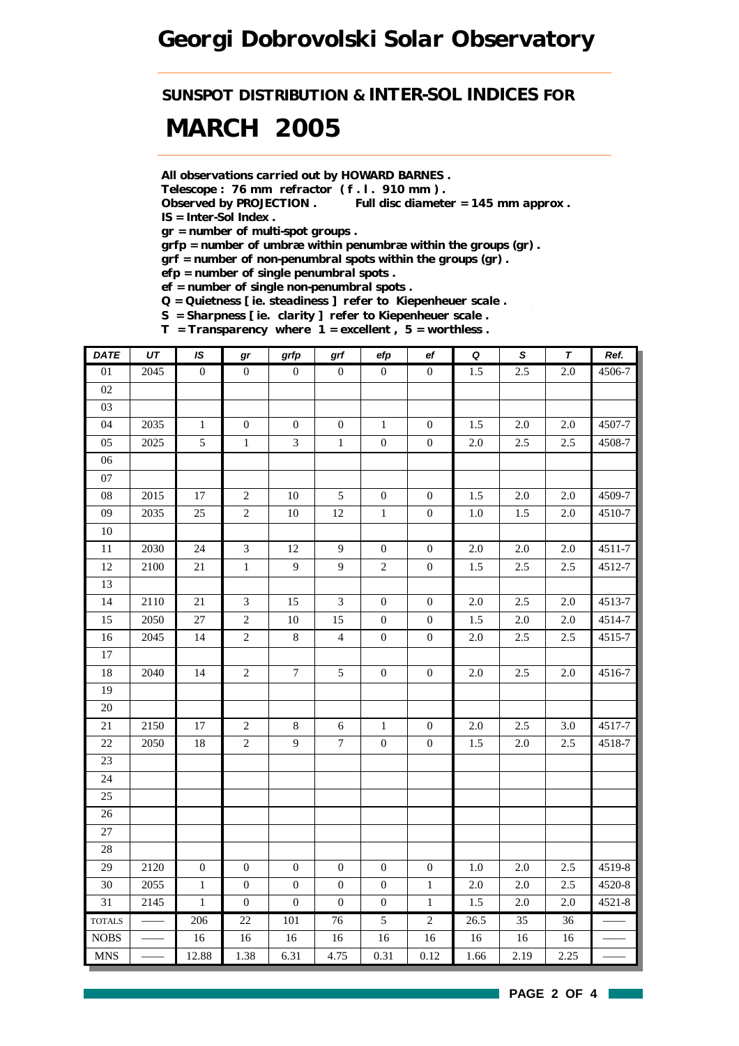*SUNSPOT DISTRIBUTION & INTER-SOL INDICES FOR*

# *MARCH 2005*

*All observations carried out by HOWARD BARNES .*

*Telescope : 76 mm refractor ( f . l . 910 mm ) .*

*Observed by PROJECTION . Full disc diameter = 145 mm approx . IS = Inter-Sol Index .*

*gr = number of multi-spot groups .*

*grfp = number of umbræ within penumbræ within the groups (gr) .*

*grf = number of non-penumbral spots within the groups (gr) .*

*efp = number of single penumbral spots .*

*ef = number of single non-penumbral spots .*

*Q = Quietness [ ie. steadiness ] refer to Kiepenheuer scale .*

*S = Sharpness [ ie. clarity ] refer to Kiepenheuer scale .*

*T = Transparency where 1 = excellent , 5 = worthless .*

| <b>DATE</b>     | $U\mathcal{T}$ | IS               | gr               | grfp             | grf              | efp              | $_{\rm ef}$      | $\pmb Q$ | $\pmb{\mathsf{s}}$ | $\pmb{\tau}$     | Ref.   |
|-----------------|----------------|------------------|------------------|------------------|------------------|------------------|------------------|----------|--------------------|------------------|--------|
| 01              | 2045           | $\overline{0}$   | $\overline{0}$   | $\overline{0}$   | $\mathbf{0}$     | $\overline{0}$   | $\overline{0}$   | 1.5      | 2.5                | $\overline{2.0}$ | 4506-7 |
| 02              |                |                  |                  |                  |                  |                  |                  |          |                    |                  |        |
| 03              |                |                  |                  |                  |                  |                  |                  |          |                    |                  |        |
| 04              | 2035           | $\mathbf{1}$     | $\boldsymbol{0}$ | $\boldsymbol{0}$ | $\boldsymbol{0}$ | $\mathbf{1}$     | $\boldsymbol{0}$ | 1.5      | 2.0                | 2.0              | 4507-7 |
| 05              | 2025           | $\sqrt{5}$       | $\mathbf 1$      | $\mathfrak{Z}$   | $1\,$            | $\boldsymbol{0}$ | $\boldsymbol{0}$ | $2.0\,$  | 2.5                | 2.5              | 4508-7 |
| 06              |                |                  |                  |                  |                  |                  |                  |          |                    |                  |        |
| 07              |                |                  |                  |                  |                  |                  |                  |          |                    |                  |        |
| $08\,$          | 2015           | 17               | $\sqrt{2}$       | $10\,$           | $\sqrt{5}$       | $\boldsymbol{0}$ | $\mathbf{0}$     | 1.5      | 2.0                | $2.0\,$          | 4509-7 |
| $09\,$          | 2035           | $25\,$           | $\sqrt{2}$       | $10\,$           | 12               | $\mathbf 1$      | $\boldsymbol{0}$ | $1.0\,$  | 1.5                | $2.0\,$          | 4510-7 |
| 10              |                |                  |                  |                  |                  |                  |                  |          |                    |                  |        |
| 11              | 2030           | 24               | $\mathfrak{Z}$   | 12               | $\overline{9}$   | $\boldsymbol{0}$ | $\boldsymbol{0}$ | 2.0      | 2.0                | 2.0              | 4511-7 |
| 12              | 2100           | 21               | $\,1$            | $\boldsymbol{9}$ | $\overline{9}$   | $\sqrt{2}$       | $\boldsymbol{0}$ | 1.5      | 2.5                | 2.5              | 4512-7 |
| 13              |                |                  |                  |                  |                  |                  |                  |          |                    |                  |        |
| 14              | 2110           | $21\,$           | $\mathfrak{Z}$   | 15               | $\mathfrak{Z}$   | $\boldsymbol{0}$ | $\mathbf{0}$     | $2.0\,$  | 2.5                | $2.0\,$          | 4513-7 |
| 15              | 2050           | $27\,$           | $\sqrt{2}$       | $10\,$           | 15               | $\boldsymbol{0}$ | $\boldsymbol{0}$ | 1.5      | $2.0\,$            | $2.0\,$          | 4514-7 |
| 16              | 2045           | 14               | $\overline{c}$   | $\,8\,$          | $\overline{4}$   | $\boldsymbol{0}$ | $\boldsymbol{0}$ | $2.0\,$  | 2.5                | 2.5              | 4515-7 |
| 17              |                |                  |                  |                  |                  |                  |                  |          |                    |                  |        |
| 18              | 2040           | 14               | $\sqrt{2}$       | $\boldsymbol{7}$ | $\sqrt{5}$       | $\boldsymbol{0}$ | $\boldsymbol{0}$ | 2.0      | 2.5                | 2.0              | 4516-7 |
| 19              |                |                  |                  |                  |                  |                  |                  |          |                    |                  |        |
| $\overline{20}$ |                |                  |                  |                  |                  |                  |                  |          |                    |                  |        |
| 21              | 2150           | 17               | $\sqrt{2}$       | $\,8\,$          | 6                | $\mathbf{1}$     | $\mathbf{0}$     | 2.0      | 2.5                | 3.0              | 4517-7 |
| 22              | 2050           | 18               | $\sqrt{2}$       | 9                | $\boldsymbol{7}$ | $\boldsymbol{0}$ | $\boldsymbol{0}$ | 1.5      | $2.0\,$            | 2.5              | 4518-7 |
| 23              |                |                  |                  |                  |                  |                  |                  |          |                    |                  |        |
| 24              |                |                  |                  |                  |                  |                  |                  |          |                    |                  |        |
| 25              |                |                  |                  |                  |                  |                  |                  |          |                    |                  |        |
| 26              |                |                  |                  |                  |                  |                  |                  |          |                    |                  |        |
| 27              |                |                  |                  |                  |                  |                  |                  |          |                    |                  |        |
| 28              |                |                  |                  |                  |                  |                  |                  |          |                    |                  |        |
| 29              | 2120           | $\boldsymbol{0}$ | $\boldsymbol{0}$ | $\boldsymbol{0}$ | $\boldsymbol{0}$ | $\boldsymbol{0}$ | $\boldsymbol{0}$ | $1.0\,$  | 2.0                | 2.5              | 4519-8 |
| 30              | 2055           | $\,1$            | $\boldsymbol{0}$ | $\boldsymbol{0}$ | $\boldsymbol{0}$ | $\boldsymbol{0}$ | $\mathbf{1}$     | $2.0\,$  | 2.0                | 2.5              | 4520-8 |
| 31              | 2145           | $\,1\,$          | $\boldsymbol{0}$ | $\boldsymbol{0}$ | $\boldsymbol{0}$ | $\boldsymbol{0}$ | $1\,$            | 1.5      | $2.0\,$            | $2.0\,$          | 4521-8 |
| <b>TOTALS</b>   |                | 206              | 22               | 101              | 76               | $\overline{5}$   | $\overline{2}$   | 26.5     | 35                 | 36               |        |
| $\rm{NOBS}$     |                | $16\,$           | $16\,$           | $16\,$           | $16\,$           | 16               | 16               | $16\,$   | $16\,$             | $16\,$           |        |
| <b>MNS</b>      |                | 12.88            | 1.38             | 6.31             | 4.75             | 0.31             | 0.12             | 1.66     | 2.19               | 2.25             |        |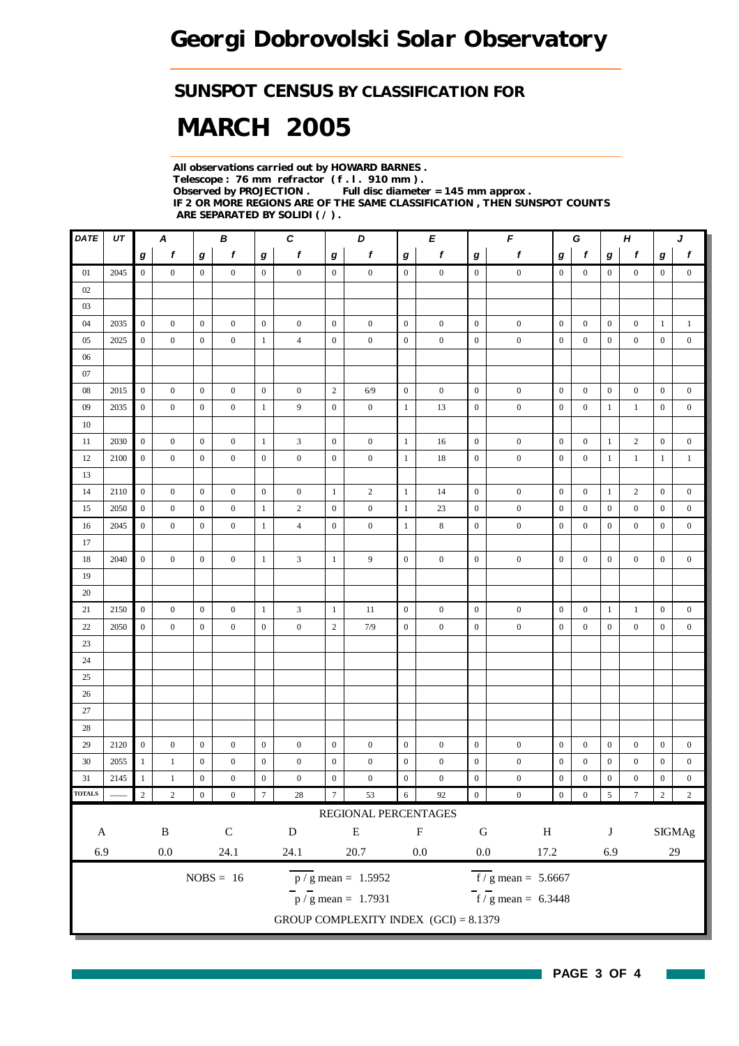### *SUNSPOT CENSUS BY CLASSIFICATION FOR*

# *MARCH 2005*

*All observations carried out by HOWARD BARNES . Telescope : 76 mm refractor ( f . l . 910 mm ) . Full disc diameter = 145 mm approx . IF 2 OR MORE REGIONS ARE OF THE SAME CLASSIFICATION , THEN SUNSPOT COUNTS ARE SEPARATED BY SOLIDI ( / ) .*

| DATE                      | UT   |                  | Α                |                  | В                |                  | C                |                  | D                                       |                  | E                |                  | F                                         |                  | G                |                  | $\boldsymbol{H}$ | J                |                  |
|---------------------------|------|------------------|------------------|------------------|------------------|------------------|------------------|------------------|-----------------------------------------|------------------|------------------|------------------|-------------------------------------------|------------------|------------------|------------------|------------------|------------------|------------------|
|                           |      | g                | $\mathbf f$      | $\boldsymbol{g}$ | f                | $\bm{g}$         | f                | $\boldsymbol{g}$ | f                                       | $\bm{g}$         | f                | $\bm{g}$         | f                                         | $\bm{g}$         | $\boldsymbol{f}$ | g                | f                | g                | f                |
| 01                        | 2045 | $\overline{0}$   | $\boldsymbol{0}$ | $\boldsymbol{0}$ | $\mathbf{0}$     | $\overline{0}$   | $\boldsymbol{0}$ | $\overline{0}$   | $\boldsymbol{0}$                        | $\boldsymbol{0}$ | $\boldsymbol{0}$ | $\mathbf{0}$     | $\boldsymbol{0}$                          | $\mathbf{0}$     | $\overline{0}$   | $\overline{0}$   | $\boldsymbol{0}$ | $\overline{0}$   | $\boldsymbol{0}$ |
| $02\,$                    |      |                  |                  |                  |                  |                  |                  |                  |                                         |                  |                  |                  |                                           |                  |                  |                  |                  |                  |                  |
| 03                        |      |                  |                  |                  |                  |                  |                  |                  |                                         |                  |                  |                  |                                           |                  |                  |                  |                  |                  |                  |
| 04                        | 2035 | $\overline{0}$   | $\boldsymbol{0}$ | $\mathbf{0}$     | $\boldsymbol{0}$ | $\overline{0}$   | $\boldsymbol{0}$ | $\boldsymbol{0}$ | $\boldsymbol{0}$                        | $\mathbf{0}$     | $\boldsymbol{0}$ | $\boldsymbol{0}$ | $\boldsymbol{0}$                          | $\boldsymbol{0}$ | $\boldsymbol{0}$ | $\boldsymbol{0}$ | $\boldsymbol{0}$ | $\mathbf{1}$     | $\mathbf{1}$     |
| 05                        | 2025 | $\boldsymbol{0}$ | $\mathbf{0}$     | $\mathbf{0}$     | $\mathbf{0}$     | $\mathbf{1}$     | $\overline{4}$   | $\mathbf{0}$     | $\mathbf{0}$                            | $\mathbf{0}$     | $\boldsymbol{0}$ | $\boldsymbol{0}$ | $\boldsymbol{0}$                          | $\boldsymbol{0}$ | $\boldsymbol{0}$ | $\mathbf{0}$     | $\boldsymbol{0}$ | $\boldsymbol{0}$ | $\boldsymbol{0}$ |
| 06                        |      |                  |                  |                  |                  |                  |                  |                  |                                         |                  |                  |                  |                                           |                  |                  |                  |                  |                  |                  |
| 07                        |      |                  |                  |                  |                  |                  |                  |                  |                                         |                  |                  |                  |                                           |                  |                  |                  |                  |                  |                  |
| $08\,$                    | 2015 | $\mathbf{0}$     | $\boldsymbol{0}$ | $\boldsymbol{0}$ | $\boldsymbol{0}$ | $\boldsymbol{0}$ | $\boldsymbol{0}$ | $\overline{2}$   | 6/9                                     | $\mathbf{0}$     | $\boldsymbol{0}$ | $\boldsymbol{0}$ | $\boldsymbol{0}$                          | $\boldsymbol{0}$ | $\boldsymbol{0}$ | $\boldsymbol{0}$ | $\boldsymbol{0}$ | $\boldsymbol{0}$ | $\boldsymbol{0}$ |
| 09                        | 2035 | $\boldsymbol{0}$ | $\boldsymbol{0}$ | $\mathbf{0}$     | $\boldsymbol{0}$ | $\mathbf{1}$     | 9                | $\mathbf{0}$     | $\boldsymbol{0}$                        | $\mathbf{1}$     | 13               | $\boldsymbol{0}$ | $\boldsymbol{0}$                          | $\boldsymbol{0}$ | $\mathbf{0}$     | $\mathbf{1}$     | $\mathbf{1}$     | $\boldsymbol{0}$ | $\boldsymbol{0}$ |
| 10                        |      |                  |                  |                  |                  |                  |                  |                  |                                         |                  |                  |                  |                                           |                  |                  |                  |                  |                  |                  |
| 11                        | 2030 | $\overline{0}$   | $\boldsymbol{0}$ | $\mathbf{0}$     | $\boldsymbol{0}$ | $\mathbf{1}$     | 3                | $\boldsymbol{0}$ | $\boldsymbol{0}$                        | $\mathbf{1}$     | 16               | $\boldsymbol{0}$ | $\boldsymbol{0}$                          | $\boldsymbol{0}$ | $\boldsymbol{0}$ | $\mathbf{1}$     | $\overline{2}$   | $\boldsymbol{0}$ | $\boldsymbol{0}$ |
| 12                        | 2100 | $\boldsymbol{0}$ | $\boldsymbol{0}$ | $\boldsymbol{0}$ | $\boldsymbol{0}$ | $\mathbf{0}$     | $\boldsymbol{0}$ | $\boldsymbol{0}$ | $\boldsymbol{0}$                        | $\mathbf{1}$     | 18               | $\boldsymbol{0}$ | $\boldsymbol{0}$                          | $\boldsymbol{0}$ | $\mathbf{0}$     | $\mathbf{1}$     | $\mathbf{1}$     | 1                | $\mathbf{1}$     |
| 13                        |      |                  |                  |                  |                  |                  |                  |                  |                                         |                  |                  |                  |                                           |                  |                  |                  |                  |                  |                  |
| 14                        | 2110 | $\mathbf{0}$     | $\mathbf{0}$     | $\boldsymbol{0}$ | $\mathbf{0}$     | $\mathbf{0}$     | $\boldsymbol{0}$ | $\mathbf{1}$     | $\sqrt{2}$                              | $\mathbf{1}$     | 14               | $\boldsymbol{0}$ | $\boldsymbol{0}$                          | $\boldsymbol{0}$ | $\mathbf{0}$     | $\mathbf{1}$     | $\overline{2}$   | $\mathbf{0}$     | $\mathbf{0}$     |
| 15                        | 2050 | $\boldsymbol{0}$ | $\boldsymbol{0}$ | $\boldsymbol{0}$ | $\boldsymbol{0}$ | $\mathbf{1}$     | $\overline{2}$   | $\boldsymbol{0}$ | $\boldsymbol{0}$                        | $\mathbf{1}$     | 23               | $\boldsymbol{0}$ | $\boldsymbol{0}$                          | $\boldsymbol{0}$ | $\boldsymbol{0}$ | $\boldsymbol{0}$ | $\boldsymbol{0}$ | $\bf{0}$         | $\boldsymbol{0}$ |
| 16                        | 2045 | $\boldsymbol{0}$ | $\boldsymbol{0}$ | $\boldsymbol{0}$ | $\boldsymbol{0}$ | $\mathbf{1}$     | $\overline{4}$   | $\mathbf{0}$     | $\boldsymbol{0}$                        | $\mathbf{1}$     | $\,$ 8 $\,$      | $\mathbf{0}$     | $\boldsymbol{0}$                          | $\boldsymbol{0}$ | $\mathbf{0}$     | $\boldsymbol{0}$ | $\boldsymbol{0}$ | $\boldsymbol{0}$ | $\boldsymbol{0}$ |
| 17                        |      |                  |                  |                  |                  |                  |                  |                  |                                         |                  |                  |                  |                                           |                  |                  |                  |                  |                  |                  |
| 18                        | 2040 | $\boldsymbol{0}$ | $\boldsymbol{0}$ | $\boldsymbol{0}$ | $\mathbf{0}$     | $\mathbf{1}$     | 3                | $\mathbf{1}$     | 9                                       | $\boldsymbol{0}$ | $\boldsymbol{0}$ | $\boldsymbol{0}$ | $\boldsymbol{0}$                          | $\boldsymbol{0}$ | $\overline{0}$   | $\boldsymbol{0}$ | $\boldsymbol{0}$ | $\boldsymbol{0}$ | $\boldsymbol{0}$ |
| 19                        |      |                  |                  |                  |                  |                  |                  |                  |                                         |                  |                  |                  |                                           |                  |                  |                  |                  |                  |                  |
| 20                        |      |                  |                  |                  |                  |                  |                  |                  |                                         |                  |                  |                  |                                           |                  |                  |                  |                  |                  |                  |
| 21                        | 2150 | $\mathbf{0}$     | $\boldsymbol{0}$ | $\boldsymbol{0}$ | $\mathbf{0}$     | $\mathbf{1}$     | 3                | $\mathbf{1}$     | 11                                      | $\boldsymbol{0}$ | $\boldsymbol{0}$ | $\boldsymbol{0}$ | $\boldsymbol{0}$                          | $\boldsymbol{0}$ | $\overline{0}$   | $\mathbf{1}$     | $\mathbf{1}$     | $\boldsymbol{0}$ | $\boldsymbol{0}$ |
| $22\,$                    | 2050 | $\boldsymbol{0}$ | $\boldsymbol{0}$ | $\boldsymbol{0}$ | $\boldsymbol{0}$ | $\boldsymbol{0}$ | $\boldsymbol{0}$ | $\overline{2}$   | 7/9                                     | $\boldsymbol{0}$ | $\boldsymbol{0}$ | $\boldsymbol{0}$ | $\boldsymbol{0}$                          | $\boldsymbol{0}$ | $\mathbf{0}$     | $\boldsymbol{0}$ | $\boldsymbol{0}$ | $\boldsymbol{0}$ | $\boldsymbol{0}$ |
| 23                        |      |                  |                  |                  |                  |                  |                  |                  |                                         |                  |                  |                  |                                           |                  |                  |                  |                  |                  |                  |
| 24                        |      |                  |                  |                  |                  |                  |                  |                  |                                         |                  |                  |                  |                                           |                  |                  |                  |                  |                  |                  |
| 25                        |      |                  |                  |                  |                  |                  |                  |                  |                                         |                  |                  |                  |                                           |                  |                  |                  |                  |                  |                  |
| 26                        |      |                  |                  |                  |                  |                  |                  |                  |                                         |                  |                  |                  |                                           |                  |                  |                  |                  |                  |                  |
| $27\,$                    |      |                  |                  |                  |                  |                  |                  |                  |                                         |                  |                  |                  |                                           |                  |                  |                  |                  |                  |                  |
| 28                        |      |                  |                  |                  |                  |                  |                  |                  |                                         |                  |                  |                  |                                           |                  |                  |                  |                  |                  |                  |
| 29                        | 2120 | $\boldsymbol{0}$ | $\boldsymbol{0}$ | $\boldsymbol{0}$ | $\mathbf{0}$     | $\mathbf{0}$     | $\boldsymbol{0}$ | $\boldsymbol{0}$ | $\boldsymbol{0}$                        | $\boldsymbol{0}$ | $\boldsymbol{0}$ | $\boldsymbol{0}$ | $\boldsymbol{0}$                          | $\boldsymbol{0}$ | $\mathbf{0}$     | $\boldsymbol{0}$ | $\mathbf{0}$     | $\boldsymbol{0}$ | $\boldsymbol{0}$ |
| 30                        | 2055 | $\mathbf{1}$     | $\mathbf{1}$     | $\boldsymbol{0}$ | $\boldsymbol{0}$ | $\boldsymbol{0}$ | $\boldsymbol{0}$ | $\boldsymbol{0}$ | $\boldsymbol{0}$                        | $\boldsymbol{0}$ | $\boldsymbol{0}$ | $\boldsymbol{0}$ | $\boldsymbol{0}$                          | $\boldsymbol{0}$ | $\mathbf{0}$     | $\boldsymbol{0}$ | $\boldsymbol{0}$ | $\boldsymbol{0}$ | $\boldsymbol{0}$ |
| 31                        | 2145 | $\mathbf{1}$     | $\mathbf{1}$     | $\boldsymbol{0}$ | $\mathbf{0}$     | $\boldsymbol{0}$ | $\boldsymbol{0}$ | $\overline{0}$   | $\boldsymbol{0}$                        | $\boldsymbol{0}$ | $\boldsymbol{0}$ | $\boldsymbol{0}$ | $\boldsymbol{0}$                          | $\boldsymbol{0}$ | $\boldsymbol{0}$ | $\boldsymbol{0}$ | $\boldsymbol{0}$ | $\boldsymbol{0}$ | $\boldsymbol{0}$ |
| <b>TOTALS</b>             |      | $\overline{c}$   | $\sqrt{2}$       | $\boldsymbol{0}$ | $\boldsymbol{0}$ | $\overline{7}$   | $\sqrt{28}$      | $\boldsymbol{7}$ | 53                                      | $\overline{6}$   | $\mathbf{92}$    | $\boldsymbol{0}$ | $\boldsymbol{0}$                          | $\boldsymbol{0}$ | $\boldsymbol{0}$ | $\overline{5}$   | $\boldsymbol{7}$ | $\overline{2}$   | $\sqrt{2}$       |
|                           |      |                  |                  |                  |                  |                  |                  |                  | REGIONAL PERCENTAGES                    |                  |                  |                  |                                           |                  |                  |                  |                  |                  |                  |
| $\boldsymbol{\mathsf{A}}$ |      |                  | $\, {\bf B}$     |                  | ${\bf C}$        |                  | ${\bf D}$        |                  | ${\bf E}$                               |                  | ${\bf F}$        | ${\bf G}$        | $\, {\rm H}$                              |                  |                  | J                |                  |                  | <b>SIGMAg</b>    |
|                           | 6.9  |                  | $0.0\,$          |                  | 24.1             |                  | 24.1             |                  | 20.7                                    |                  | $0.0\,$          | $0.0\,$          | 17.2                                      |                  |                  | 6.9              |                  |                  | $29\,$           |
|                           |      |                  |                  |                  |                  |                  |                  |                  |                                         |                  |                  |                  |                                           |                  |                  |                  |                  |                  |                  |
|                           |      |                  |                  |                  | $NOBS = 16$      |                  |                  |                  | $p / g$ mean = 1.5952                   |                  |                  |                  | $\overline{f}/\overline{g}$ mean = 5.6667 |                  |                  |                  |                  |                  |                  |
|                           |      |                  |                  |                  |                  |                  |                  |                  | $p / g$ mean = 1.7931                   |                  |                  |                  | $f/g$ mean = 6.3448                       |                  |                  |                  |                  |                  |                  |
|                           |      |                  |                  |                  |                  |                  |                  |                  | GROUP COMPLEXITY INDEX $(GCI) = 8.1379$ |                  |                  |                  |                                           |                  |                  |                  |                  |                  |                  |